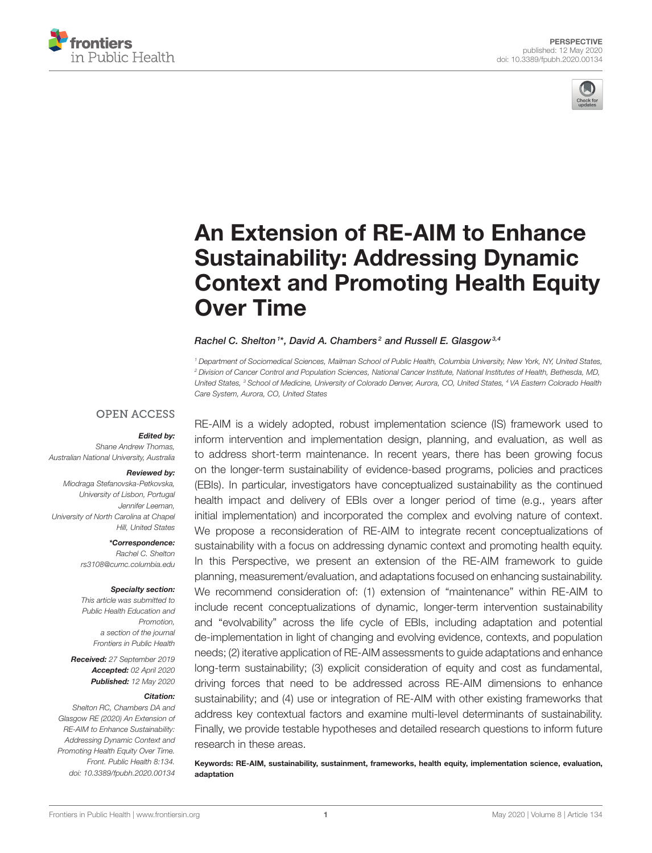



# An Extension of RE-AIM to Enhance Sustainability: Addressing Dynamic [Context and Promoting Health Equity](https://www.frontiersin.org/articles/10.3389/fpubh.2020.00134/full) Over Time

### [Rachel C. Shelton](http://loop.frontiersin.org/people/485785/overview)<sup>1\*</sup>, [David A. Chambers](http://loop.frontiersin.org/people/818154/overview)<sup>2</sup> and [Russell E. Glasgow](http://loop.frontiersin.org/people/545455/overview)<sup>3,4</sup>

*<sup>1</sup> Department of Sociomedical Sciences, Mailman School of Public Health, Columbia University, New York, NY, United States, <sup>2</sup> Division of Cancer Control and Population Sciences, National Cancer Institute, National Institutes of Health, Bethesda, MD, United States, <sup>3</sup> School of Medicine, University of Colorado Denver, Aurora, CO, United States, <sup>4</sup> VA Eastern Colorado Health Care System, Aurora, CO, United States*

### **OPEN ACCESS**

### Edited by:

*Shane Andrew Thomas, Australian National University, Australia*

#### Reviewed by:

*Miodraga Stefanovska-Petkovska, University of Lisbon, Portugal Jennifer Leeman, University of North Carolina at Chapel Hill, United States*

> \*Correspondence: *Rachel C. Shelton [rs3108@cumc.columbia.edu](mailto:rs3108@cumc.columbia.edu)*

#### Specialty section:

*This article was submitted to Public Health Education and Promotion, a section of the journal Frontiers in Public Health*

Received: *27 September 2019* Accepted: *02 April 2020* Published: *12 May 2020*

#### Citation:

*Shelton RC, Chambers DA and Glasgow RE (2020) An Extension of RE-AIM to Enhance Sustainability: Addressing Dynamic Context and Promoting Health Equity Over Time. Front. Public Health 8:134. doi: [10.3389/fpubh.2020.00134](https://doi.org/10.3389/fpubh.2020.00134)* RE-AIM is a widely adopted, robust implementation science (IS) framework used to inform intervention and implementation design, planning, and evaluation, as well as to address short-term maintenance. In recent years, there has been growing focus on the longer-term sustainability of evidence-based programs, policies and practices (EBIs). In particular, investigators have conceptualized sustainability as the continued health impact and delivery of EBIs over a longer period of time (e.g., years after initial implementation) and incorporated the complex and evolving nature of context. We propose a reconsideration of RE-AIM to integrate recent conceptualizations of sustainability with a focus on addressing dynamic context and promoting health equity. In this Perspective, we present an extension of the RE-AIM framework to guide planning, measurement/evaluation, and adaptations focused on enhancing sustainability. We recommend consideration of: (1) extension of "maintenance" within RE-AIM to include recent conceptualizations of dynamic, longer-term intervention sustainability and "evolvability" across the life cycle of EBIs, including adaptation and potential de-implementation in light of changing and evolving evidence, contexts, and population needs; (2) iterative application of RE-AIM assessments to guide adaptations and enhance long-term sustainability; (3) explicit consideration of equity and cost as fundamental, driving forces that need to be addressed across RE-AIM dimensions to enhance sustainability; and (4) use or integration of RE-AIM with other existing frameworks that address key contextual factors and examine multi-level determinants of sustainability. Finally, we provide testable hypotheses and detailed research questions to inform future research in these areas.

Keywords: RE-AIM, sustainability, sustainment, frameworks, health equity, implementation science, evaluation, adaptation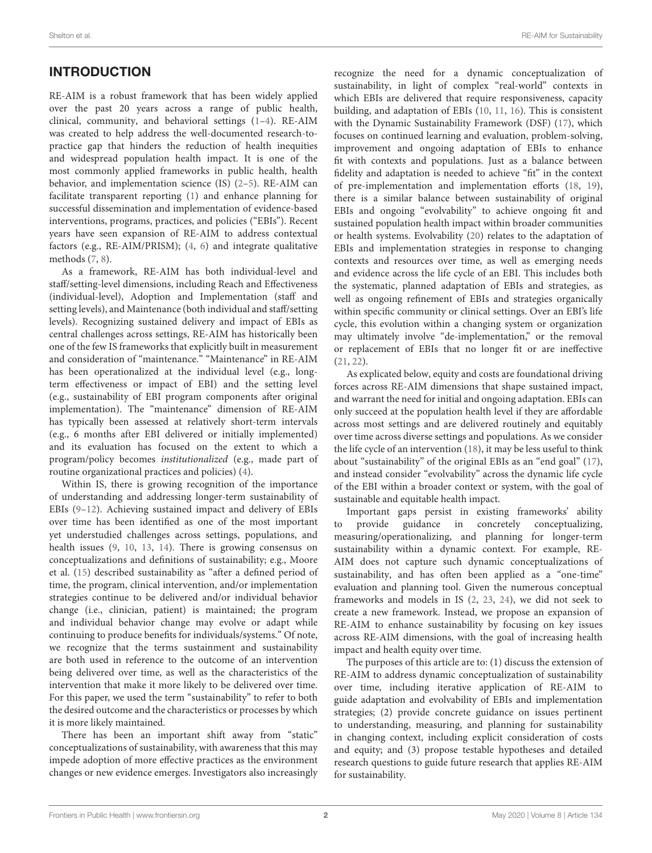# INTRODUCTION

RE-AIM is a robust framework that has been widely applied over the past 20 years across a range of public health, clinical, community, and behavioral settings [\(1](#page-6-0)[–4\)](#page-6-1). RE-AIM was created to help address the well-documented research-topractice gap that hinders the reduction of health inequities and widespread population health impact. It is one of the most commonly applied frameworks in public health, health behavior, and implementation science (IS) [\(2–](#page-6-2)[5\)](#page-6-3). RE-AIM can facilitate transparent reporting [\(1\)](#page-6-0) and enhance planning for successful dissemination and implementation of evidence-based interventions, programs, practices, and policies ("EBIs"). Recent years have seen expansion of RE-AIM to address contextual factors (e.g., RE-AIM/PRISM); [\(4,](#page-6-1) [6\)](#page-6-4) and integrate qualitative methods [\(7,](#page-6-5) [8\)](#page-6-6).

As a framework, RE-AIM has both individual-level and staff/setting-level dimensions, including Reach and Effectiveness (individual-level), Adoption and Implementation (staff and setting levels), and Maintenance (both individual and staff/setting levels). Recognizing sustained delivery and impact of EBIs as central challenges across settings, RE-AIM has historically been one of the few IS frameworks that explicitly built in measurement and consideration of "maintenance." "Maintenance" in RE-AIM has been operationalized at the individual level (e.g., longterm effectiveness or impact of EBI) and the setting level (e.g., sustainability of EBI program components after original implementation). The "maintenance" dimension of RE-AIM has typically been assessed at relatively short-term intervals (e.g., 6 months after EBI delivered or initially implemented) and its evaluation has focused on the extent to which a program/policy becomes institutionalized (e.g., made part of routine organizational practices and policies) [\(4\)](#page-6-1).

Within IS, there is growing recognition of the importance of understanding and addressing longer-term sustainability of EBIs [\(9](#page-6-7)[–12\)](#page-6-8). Achieving sustained impact and delivery of EBIs over time has been identified as one of the most important yet understudied challenges across settings, populations, and health issues [\(9,](#page-6-7) [10,](#page-6-9) [13,](#page-6-10) [14\)](#page-7-0). There is growing consensus on conceptualizations and definitions of sustainability; e.g., Moore et al. [\(15\)](#page-7-1) described sustainability as "after a defined period of time, the program, clinical intervention, and/or implementation strategies continue to be delivered and/or individual behavior change (i.e., clinician, patient) is maintained; the program and individual behavior change may evolve or adapt while continuing to produce benefits for individuals/systems." Of note, we recognize that the terms sustainment and sustainability are both used in reference to the outcome of an intervention being delivered over time, as well as the characteristics of the intervention that make it more likely to be delivered over time. For this paper, we used the term "sustainability" to refer to both the desired outcome and the characteristics or processes by which it is more likely maintained.

There has been an important shift away from "static" conceptualizations of sustainability, with awareness that this may impede adoption of more effective practices as the environment changes or new evidence emerges. Investigators also increasingly recognize the need for a dynamic conceptualization of sustainability, in light of complex "real-world" contexts in which EBIs are delivered that require responsiveness, capacity building, and adaptation of EBIs [\(10,](#page-6-9) [11,](#page-6-11) [16\)](#page-7-2). This is consistent with the Dynamic Sustainability Framework (DSF) [\(17\)](#page-7-3), which focuses on continued learning and evaluation, problem-solving, improvement and ongoing adaptation of EBIs to enhance fit with contexts and populations. Just as a balance between fidelity and adaptation is needed to achieve "fit" in the context of pre-implementation and implementation efforts [\(18,](#page-7-4) [19\)](#page-7-5), there is a similar balance between sustainability of original EBIs and ongoing "evolvability" to achieve ongoing fit and sustained population health impact within broader communities or health systems. Evolvability [\(20\)](#page-7-6) relates to the adaptation of EBIs and implementation strategies in response to changing contexts and resources over time, as well as emerging needs and evidence across the life cycle of an EBI. This includes both the systematic, planned adaptation of EBIs and strategies, as well as ongoing refinement of EBIs and strategies organically within specific community or clinical settings. Over an EBI's life cycle, this evolution within a changing system or organization may ultimately involve "de-implementation," or the removal or replacement of EBIs that no longer fit or are ineffective [\(21,](#page-7-7) [22\)](#page-7-8).

As explicated below, equity and costs are foundational driving forces across RE-AIM dimensions that shape sustained impact, and warrant the need for initial and ongoing adaptation. EBIs can only succeed at the population health level if they are affordable across most settings and are delivered routinely and equitably over time across diverse settings and populations. As we consider the life cycle of an intervention [\(18\)](#page-7-4), it may be less useful to think about "sustainability" of the original EBIs as an "end goal" [\(17\)](#page-7-3), and instead consider "evolvability" across the dynamic life cycle of the EBI within a broader context or system, with the goal of sustainable and equitable health impact.

Important gaps persist in existing frameworks' ability to provide guidance in concretely conceptualizing, measuring/operationalizing, and planning for longer-term sustainability within a dynamic context. For example, RE-AIM does not capture such dynamic conceptualizations of sustainability, and has often been applied as a "one-time" evaluation and planning tool. Given the numerous conceptual frameworks and models in IS [\(2,](#page-6-2) [23,](#page-7-9) [24\)](#page-7-10), we did not seek to create a new framework. Instead, we propose an expansion of RE-AIM to enhance sustainability by focusing on key issues across RE-AIM dimensions, with the goal of increasing health impact and health equity over time.

The purposes of this article are to: (1) discuss the extension of RE-AIM to address dynamic conceptualization of sustainability over time, including iterative application of RE-AIM to guide adaptation and evolvability of EBIs and implementation strategies; (2) provide concrete guidance on issues pertinent to understanding, measuring, and planning for sustainability in changing context, including explicit consideration of costs and equity; and (3) propose testable hypotheses and detailed research questions to guide future research that applies RE-AIM for sustainability.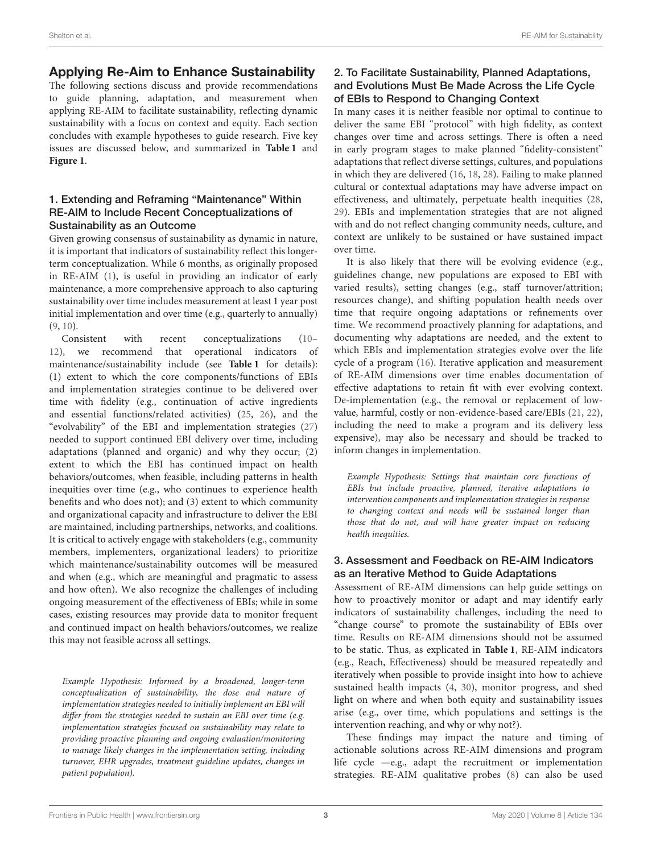# Applying Re-Aim to Enhance Sustainability

The following sections discuss and provide recommendations to guide planning, adaptation, and measurement when applying RE-AIM to facilitate sustainability, reflecting dynamic sustainability with a focus on context and equity. Each section concludes with example hypotheses to guide research. Five key issues are discussed below, and summarized in **[Table 1](#page-3-0)** and **[Figure 1](#page-4-0)**.

### 1. Extending and Reframing "Maintenance" Within RE-AIM to Include Recent Conceptualizations of Sustainability as an Outcome

Given growing consensus of sustainability as dynamic in nature, it is important that indicators of sustainability reflect this longerterm conceptualization. While 6 months, as originally proposed in RE-AIM [\(1\)](#page-6-0), is useful in providing an indicator of early maintenance, a more comprehensive approach to also capturing sustainability over time includes measurement at least 1 year post initial implementation and over time (e.g., quarterly to annually) [\(9,](#page-6-7) [10\)](#page-6-9).

Consistent with recent conceptualizations [\(10–](#page-6-9) [12\)](#page-6-8), we recommend that operational indicators of maintenance/sustainability include (see **[Table 1](#page-3-0)** for details): (1) extent to which the core components/functions of EBIs and implementation strategies continue to be delivered over time with fidelity (e.g., continuation of active ingredients and essential functions/related activities) [\(25,](#page-7-11) [26\)](#page-7-12), and the "evolvability" of the EBI and implementation strategies [\(27\)](#page-7-13) needed to support continued EBI delivery over time, including adaptations (planned and organic) and why they occur; (2) extent to which the EBI has continued impact on health behaviors/outcomes, when feasible, including patterns in health inequities over time (e.g., who continues to experience health benefits and who does not); and (3) extent to which community and organizational capacity and infrastructure to deliver the EBI are maintained, including partnerships, networks, and coalitions. It is critical to actively engage with stakeholders (e.g., community members, implementers, organizational leaders) to prioritize which maintenance/sustainability outcomes will be measured and when (e.g., which are meaningful and pragmatic to assess and how often). We also recognize the challenges of including ongoing measurement of the effectiveness of EBIs; while in some cases, existing resources may provide data to monitor frequent and continued impact on health behaviors/outcomes, we realize this may not feasible across all settings.

Example Hypothesis: Informed by a broadened, longer-term conceptualization of sustainability, the dose and nature of implementation strategies needed to initially implement an EBI will differ from the strategies needed to sustain an EBI over time (e.g. implementation strategies focused on sustainability may relate to providing proactive planning and ongoing evaluation/monitoring to manage likely changes in the implementation setting, including turnover, EHR upgrades, treatment guideline updates, changes in patient population).

### 2. To Facilitate Sustainability, Planned Adaptations, and Evolutions Must Be Made Across the Life Cycle of EBIs to Respond to Changing Context

In many cases it is neither feasible nor optimal to continue to deliver the same EBI "protocol" with high fidelity, as context changes over time and across settings. There is often a need in early program stages to make planned "fidelity-consistent" adaptations that reflect diverse settings, cultures, and populations in which they are delivered [\(16,](#page-7-2) [18,](#page-7-4) [28\)](#page-7-14). Failing to make planned cultural or contextual adaptations may have adverse impact on effectiveness, and ultimately, perpetuate health inequities [\(28,](#page-7-14) [29\)](#page-7-15). EBIs and implementation strategies that are not aligned with and do not reflect changing community needs, culture, and context are unlikely to be sustained or have sustained impact over time.

It is also likely that there will be evolving evidence (e.g., guidelines change, new populations are exposed to EBI with varied results), setting changes (e.g., staff turnover/attrition; resources change), and shifting population health needs over time that require ongoing adaptations or refinements over time. We recommend proactively planning for adaptations, and documenting why adaptations are needed, and the extent to which EBIs and implementation strategies evolve over the life cycle of a program [\(16\)](#page-7-2). Iterative application and measurement of RE-AIM dimensions over time enables documentation of effective adaptations to retain fit with ever evolving context. De-implementation (e.g., the removal or replacement of lowvalue, harmful, costly or non-evidence-based care/EBIs [\(21,](#page-7-7) [22\)](#page-7-8), including the need to make a program and its delivery less expensive), may also be necessary and should be tracked to inform changes in implementation.

Example Hypothesis: Settings that maintain core functions of EBIs but include proactive, planned, iterative adaptations to intervention components and implementation strategies in response to changing context and needs will be sustained longer than those that do not, and will have greater impact on reducing health inequities.

### 3. Assessment and Feedback on RE-AIM Indicators as an Iterative Method to Guide Adaptations

Assessment of RE-AIM dimensions can help guide settings on how to proactively monitor or adapt and may identify early indicators of sustainability challenges, including the need to "change course" to promote the sustainability of EBIs over time. Results on RE-AIM dimensions should not be assumed to be static. Thus, as explicated in **[Table 1](#page-3-0)**, RE-AIM indicators (e.g., Reach, Effectiveness) should be measured repeatedly and iteratively when possible to provide insight into how to achieve sustained health impacts [\(4,](#page-6-1) [30\)](#page-7-16), monitor progress, and shed light on where and when both equity and sustainability issues arise (e.g., over time, which populations and settings is the intervention reaching, and why or why not?).

These findings may impact the nature and timing of actionable solutions across RE-AIM dimensions and program life cycle —e.g., adapt the recruitment or implementation strategies. RE-AIM qualitative probes [\(8\)](#page-6-6) can also be used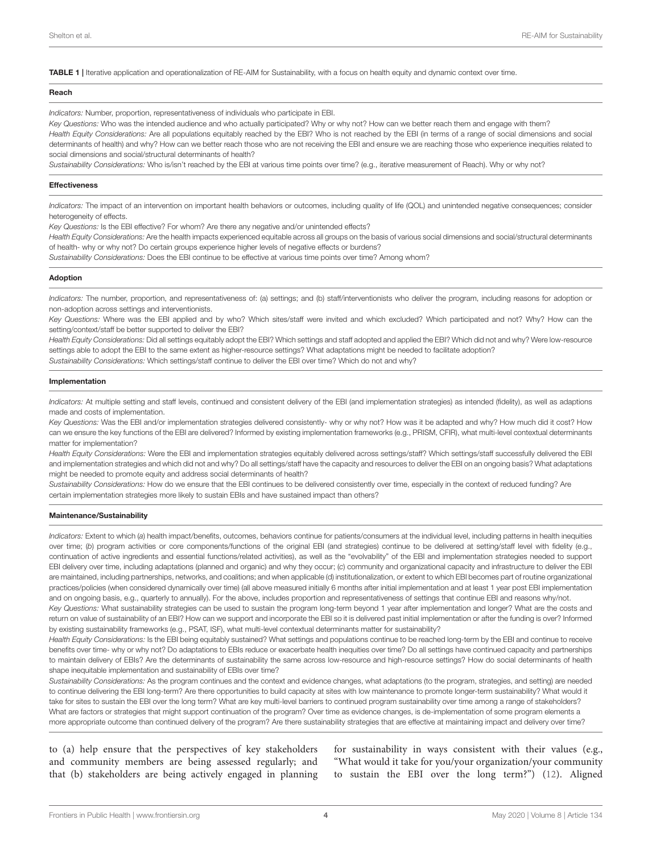<span id="page-3-0"></span>TABLE 1 | Iterative application and operationalization of RE-AIM for Sustainability, with a focus on health equity and dynamic context over time.

#### Reach

*Indicators:* Number, proportion, representativeness of individuals who participate in EBI.

*Key Questions:* Who was the intended audience and who actually participated? Why or why not? How can we better reach them and engage with them? Health Equity Considerations: Are all populations equitably reached by the EBI? Who is not reached by the EBI (in terms of a range of social dimensions and social determinants of health) and why? How can we better reach those who are not receiving the EBI and ensure we are reaching those who experience inequities related to social dimensions and social/structural determinants of health?

*Sustainability Considerations:* Who is/isn't reached by the EBI at various time points over time? (e.g., iterative measurement of Reach). Why or why not?

#### **Effectiveness**

*Indicators:* The impact of an intervention on important health behaviors or outcomes, including quality of life (QOL) and unintended negative consequences; consider heterogeneity of effects.

*Key Questions:* Is the EBI effective? For whom? Are there any negative and/or unintended effects?

*Health Equity Considerations:* Are the health impacts experienced equitable across all groups on the basis of various social dimensions and social/structural determinants of health- why or why not? Do certain groups experience higher levels of negative effects or burdens?

*Sustainability Considerations:* Does the EBI continue to be effective at various time points over time? Among whom?

#### Adoption

*Indicators:* The number, proportion, and representativeness of: (a) settings; and (b) staff/interventionists who deliver the program, including reasons for adoption or non-adoption across settings and interventionists.

*Key Questions:* Where was the EBI applied and by who? Which sites/staff were invited and which excluded? Which participated and not? Why? How can the setting/context/staff be better supported to deliver the EBI?

*Health Equity Considerations:* Did all settings equitably adopt the EBI? Which settings and staff adopted and applied the EBI? Which did not and why? Were low-resource settings able to adopt the EBI to the same extent as higher-resource settings? What adaptations might be needed to facilitate adoption? *Sustainability Considerations:* Which settings/staff continue to deliver the EBI over time? Which do not and why?

#### Implementation

*Indicators:* At multiple setting and staff levels, continued and consistent delivery of the EBI (and implementation strategies) as intended (fidelity), as well as adaptions made and costs of implementation.

*Key Questions:* Was the EBI and/or implementation strategies delivered consistently- why or why not? How was it be adapted and why? How much did it cost? How can we ensure the key functions of the EBI are delivered? Informed by existing implementation frameworks (e.g., PRISM, CFIR), what multi-level contextual determinants matter for implementation?

*Health Equity Considerations:* Were the EBI and implementation strategies equitably delivered across settings/staff? Which settings/staff successfully delivered the EBI and implementation strategies and which did not and why? Do all settings/staff have the capacity and resources to deliver the EBI on an ongoing basis? What adaptations might be needed to promote equity and address social determinants of health?

*Sustainability Considerations:* How do we ensure that the EBI continues to be delivered consistently over time, especially in the context of reduced funding? Are certain implementation strategies more likely to sustain EBIs and have sustained impact than others?

#### Maintenance/Sustainability

*Indicators:* Extent to which (*a*) health impact/benefits, outcomes, behaviors continue for patients/consumers at the individual level, including patterns in health inequities over time; (*b*) program activities or core components/functions of the original EBI (and strategies) continue to be delivered at setting/staff level with fidelity (e.g., continuation of active ingredients and essential functions/related activities), as well as the "evolvability" of the EBI and implementation strategies needed to support EBI delivery over time, including adaptations (planned and organic) and why they occur; (*c*) community and organizational capacity and infrastructure to deliver the EBI are maintained, including partnerships, networks, and coalitions; and when applicable (d) institutionalization, or extent to which EBI becomes part of routine organizational practices/policies (when considered dynamically over time) (all above measured initially 6 months after initial implementation and at least 1 year post EBI implementation and on ongoing basis, e.g., quarterly to annually). For the above, includes proportion and representativeness of settings that continue EBI and reasons why/not.

*Key Questions:* What sustainability strategies can be used to sustain the program long-term beyond 1 year after implementation and longer? What are the costs and return on value of sustainability of an EBI? How can we support and incorporate the EBI so it is delivered past initial implementation or after the funding is over? Informed by existing sustainability frameworks (e.g., PSAT, ISF), what multi-level contextual determinants matter for sustainability?

*Health Equity Considerations:* Is the EBI being equitably sustained? What settings and populations continue to be reached long-term by the EBI and continue to receive benefits over time- why or why not? Do adaptations to EBIs reduce or exacerbate health inequities over time? Do all settings have continued capacity and partnerships to maintain delivery of EBIs? Are the determinants of sustainability the same across low-resource and high-resource settings? How do social determinants of health shape inequitable implementation and sustainability of EBIs over time?

*Sustainability Considerations:* As the program continues and the context and evidence changes, what adaptations (to the program, strategies, and setting) are needed to continue delivering the EBI long-term? Are there opportunities to build capacity at sites with low maintenance to promote longer-term sustainability? What would it take for sites to sustain the EBI over the long term? What are key multi-level barriers to continued program sustainability over time among a range of stakeholders? What are factors or strategies that might support continuation of the program? Over time as evidence changes, is de-implementation of some program elements a more appropriate outcome than continued delivery of the program? Are there sustainability strategies that are effective at maintaining impact and delivery over time?

to (a) help ensure that the perspectives of key stakeholders and community members are being assessed regularly; and that (b) stakeholders are being actively engaged in planning

for sustainability in ways consistent with their values (e.g., "What would it take for you/your organization/your community to sustain the EBI over the long term?") [\(12\)](#page-6-8). Aligned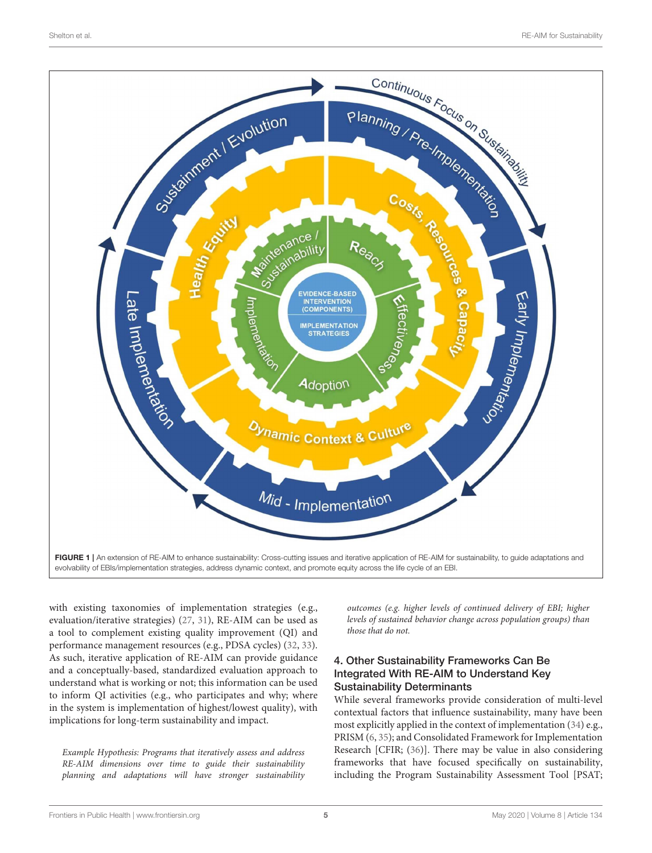

<span id="page-4-0"></span>with existing taxonomies of implementation strategies (e.g., evaluation/iterative strategies) [\(27,](#page-7-13) [31\)](#page-7-17), RE-AIM can be used as a tool to complement existing quality improvement (QI) and performance management resources (e.g., PDSA cycles) [\(32,](#page-7-18) [33\)](#page-7-19). As such, iterative application of RE-AIM can provide guidance and a conceptually-based, standardized evaluation approach to understand what is working or not; this information can be used to inform QI activities (e.g., who participates and why; where in the system is implementation of highest/lowest quality), with implications for long-term sustainability and impact.

Example Hypothesis: Programs that iteratively assess and address RE-AIM dimensions over time to guide their sustainability planning and adaptations will have stronger sustainability outcomes (e.g. higher levels of continued delivery of EBI; higher levels of sustained behavior change across population groups) than those that do not.

### 4. Other Sustainability Frameworks Can Be Integrated With RE-AIM to Understand Key Sustainability Determinants

While several frameworks provide consideration of multi-level contextual factors that influence sustainability, many have been most explicitly applied in the context of implementation [\(34\)](#page-7-20) e.g., PRISM [\(6,](#page-6-4) [35\)](#page-7-21); and Consolidated Framework for Implementation Research [CFIR; [\(36\)](#page-7-22)]. There may be value in also considering frameworks that have focused specifically on sustainability, including the Program Sustainability Assessment Tool [PSAT;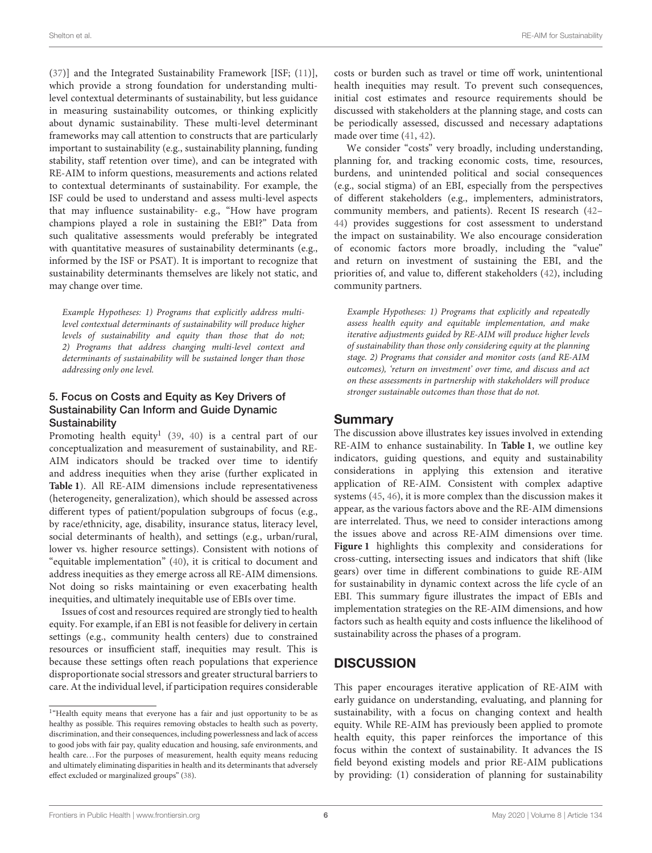[\(37\)](#page-7-23)] and the Integrated Sustainability Framework [ISF; [\(11\)](#page-6-11)], which provide a strong foundation for understanding multilevel contextual determinants of sustainability, but less guidance in measuring sustainability outcomes, or thinking explicitly about dynamic sustainability. These multi-level determinant frameworks may call attention to constructs that are particularly important to sustainability (e.g., sustainability planning, funding stability, staff retention over time), and can be integrated with RE-AIM to inform questions, measurements and actions related to contextual determinants of sustainability. For example, the ISF could be used to understand and assess multi-level aspects that may influence sustainability- e.g., "How have program champions played a role in sustaining the EBI?" Data from such qualitative assessments would preferably be integrated with quantitative measures of sustainability determinants (e.g., informed by the ISF or PSAT). It is important to recognize that sustainability determinants themselves are likely not static, and may change over time.

Example Hypotheses: 1) Programs that explicitly address multilevel contextual determinants of sustainability will produce higher levels of sustainability and equity than those that do not; 2) Programs that address changing multi-level context and determinants of sustainability will be sustained longer than those addressing only one level.

### 5. Focus on Costs and Equity as Key Drivers of Sustainability Can Inform and Guide Dynamic **Sustainability**

Promoting health equity<sup>[1](#page-5-0)</sup> [\(39,](#page-7-24) [40\)](#page-7-25) is a central part of our conceptualization and measurement of sustainability, and RE-AIM indicators should be tracked over time to identify and address inequities when they arise (further explicated in **[Table 1](#page-3-0)**). All RE-AIM dimensions include representativeness (heterogeneity, generalization), which should be assessed across different types of patient/population subgroups of focus (e.g., by race/ethnicity, age, disability, insurance status, literacy level, social determinants of health), and settings (e.g., urban/rural, lower vs. higher resource settings). Consistent with notions of "equitable implementation" [\(40\)](#page-7-25), it is critical to document and address inequities as they emerge across all RE-AIM dimensions. Not doing so risks maintaining or even exacerbating health inequities, and ultimately inequitable use of EBIs over time.

Issues of cost and resources required are strongly tied to health equity. For example, if an EBI is not feasible for delivery in certain settings (e.g., community health centers) due to constrained resources or insufficient staff, inequities may result. This is because these settings often reach populations that experience disproportionate social stressors and greater structural barriers to care. At the individual level, if participation requires considerable costs or burden such as travel or time off work, unintentional health inequities may result. To prevent such consequences, initial cost estimates and resource requirements should be discussed with stakeholders at the planning stage, and costs can be periodically assessed, discussed and necessary adaptations made over time [\(41,](#page-7-27) [42\)](#page-7-28).

We consider "costs" very broadly, including understanding, planning for, and tracking economic costs, time, resources, burdens, and unintended political and social consequences (e.g., social stigma) of an EBI, especially from the perspectives of different stakeholders (e.g., implementers, administrators, community members, and patients). Recent IS research [\(42–](#page-7-28) [44\)](#page-7-29) provides suggestions for cost assessment to understand the impact on sustainability. We also encourage consideration of economic factors more broadly, including the "value" and return on investment of sustaining the EBI, and the priorities of, and value to, different stakeholders [\(42\)](#page-7-28), including community partners.

Example Hypotheses: 1) Programs that explicitly and repeatedly assess health equity and equitable implementation, and make iterative adjustments guided by RE-AIM will produce higher levels of sustainability than those only considering equity at the planning stage. 2) Programs that consider and monitor costs (and RE-AIM outcomes), 'return on investment' over time, and discuss and act on these assessments in partnership with stakeholders will produce stronger sustainable outcomes than those that do not.

## Summary

The discussion above illustrates key issues involved in extending RE-AIM to enhance sustainability. In **[Table 1](#page-3-0)**, we outline key indicators, guiding questions, and equity and sustainability considerations in applying this extension and iterative application of RE-AIM. Consistent with complex adaptive systems [\(45,](#page-7-30) [46\)](#page-7-31), it is more complex than the discussion makes it appear, as the various factors above and the RE-AIM dimensions are interrelated. Thus, we need to consider interactions among the issues above and across RE-AIM dimensions over time. **[Figure 1](#page-4-0)** highlights this complexity and considerations for cross-cutting, intersecting issues and indicators that shift (like gears) over time in different combinations to guide RE-AIM for sustainability in dynamic context across the life cycle of an EBI. This summary figure illustrates the impact of EBIs and implementation strategies on the RE-AIM dimensions, and how factors such as health equity and costs influence the likelihood of sustainability across the phases of a program.

# **DISCUSSION**

This paper encourages iterative application of RE-AIM with early guidance on understanding, evaluating, and planning for sustainability, with a focus on changing context and health equity. While RE-AIM has previously been applied to promote health equity, this paper reinforces the importance of this focus within the context of sustainability. It advances the IS field beyond existing models and prior RE-AIM publications by providing: (1) consideration of planning for sustainability

<span id="page-5-0"></span><sup>&</sup>lt;sup>1</sup>"Health equity means that everyone has a fair and just opportunity to be as healthy as possible. This requires removing obstacles to health such as poverty, discrimination, and their consequences, including powerlessness and lack of access to good jobs with fair pay, quality education and housing, safe environments, and health care...For the purposes of measurement, health equity means reducing and ultimately eliminating disparities in health and its determinants that adversely effect excluded or marginalized groups" [\(38\)](#page-7-26).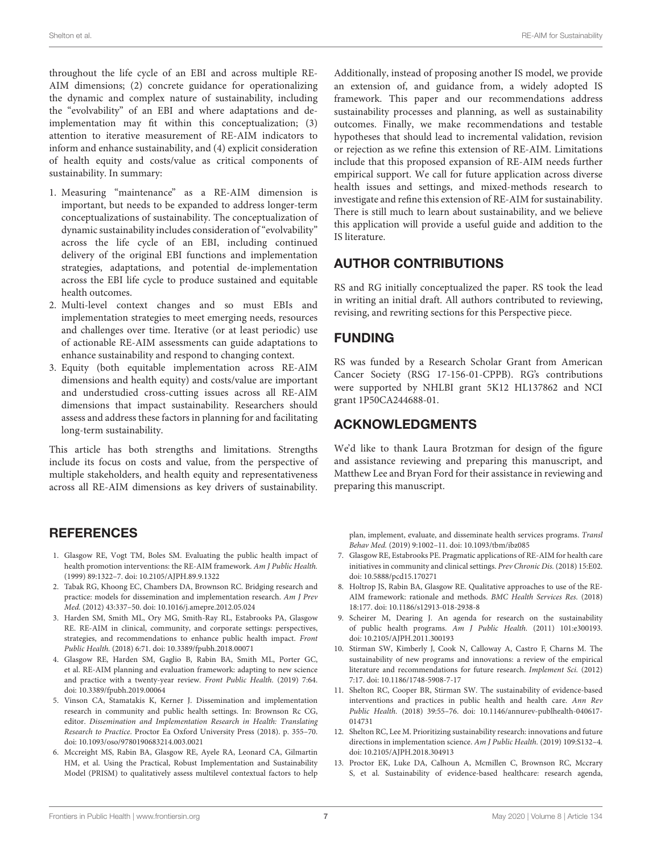throughout the life cycle of an EBI and across multiple RE-AIM dimensions; (2) concrete guidance for operationalizing the dynamic and complex nature of sustainability, including the "evolvability" of an EBI and where adaptations and deimplementation may fit within this conceptualization; (3) attention to iterative measurement of RE-AIM indicators to inform and enhance sustainability, and (4) explicit consideration of health equity and costs/value as critical components of sustainability. In summary:

- 1. Measuring "maintenance" as a RE-AIM dimension is important, but needs to be expanded to address longer-term conceptualizations of sustainability. The conceptualization of dynamic sustainability includes consideration of "evolvability" across the life cycle of an EBI, including continued delivery of the original EBI functions and implementation strategies, adaptations, and potential de-implementation across the EBI life cycle to produce sustained and equitable health outcomes.
- 2. Multi-level context changes and so must EBIs and implementation strategies to meet emerging needs, resources and challenges over time. Iterative (or at least periodic) use of actionable RE-AIM assessments can guide adaptations to enhance sustainability and respond to changing context.
- 3. Equity (both equitable implementation across RE-AIM dimensions and health equity) and costs/value are important and understudied cross-cutting issues across all RE-AIM dimensions that impact sustainability. Researchers should assess and address these factors in planning for and facilitating long-term sustainability.

This article has both strengths and limitations. Strengths include its focus on costs and value, from the perspective of multiple stakeholders, and health equity and representativeness across all RE-AIM dimensions as key drivers of sustainability.

# **REFERENCES**

- <span id="page-6-0"></span>1. Glasgow RE, Vogt TM, Boles SM. Evaluating the public health impact of health promotion interventions: the RE-AIM framework. Am J Public Health. (1999) 89:1322–7. doi: [10.2105/AJPH.89.9.1322](https://doi.org/10.2105/AJPH.89.9.1322)
- <span id="page-6-2"></span>2. Tabak RG, Khoong EC, Chambers DA, Brownson RC. Bridging research and practice: models for dissemination and implementation research. Am J Prev Med. (2012) 43:337–50. doi: [10.1016/j.amepre.2012.05.024](https://doi.org/10.1016/j.amepre.2012.05.024)
- 3. Harden SM, Smith ML, Ory MG, Smith-Ray RL, Estabrooks PA, Glasgow RE. RE-AIM in clinical, community, and corporate settings: perspectives, strategies, and recommendations to enhance public health impact. Front Public Health. (2018) 6:71. doi: [10.3389/fpubh.2018.00071](https://doi.org/10.3389/fpubh.2018.00071)
- <span id="page-6-1"></span>4. Glasgow RE, Harden SM, Gaglio B, Rabin BA, Smith ML, Porter GC, et al. RE-AIM planning and evaluation framework: adapting to new science and practice with a twenty-year review. Front Public Health. (2019) 7:64. doi: [10.3389/fpubh.2019.00064](https://doi.org/10.3389/fpubh.2019.00064)
- <span id="page-6-3"></span>5. Vinson CA, Stamatakis K, Kerner J. Dissemination and implementation research in community and public health settings. In: Brownson Rc CG, editor. Dissemination and Implementation Research in Health: Translating Research to Practice. Proctor Ea Oxford University Press (2018). p. 355–70. doi: [10.1093/oso/9780190683214.003.0021](https://doi.org/10.1093/oso/9780190683214.003.0021)
- <span id="page-6-4"></span>6. Mccreight MS, Rabin BA, Glasgow RE, Ayele RA, Leonard CA, Gilmartin HM, et al. Using the Practical, Robust Implementation and Sustainability Model (PRISM) to qualitatively assess multilevel contextual factors to help

Additionally, instead of proposing another IS model, we provide an extension of, and guidance from, a widely adopted IS framework. This paper and our recommendations address sustainability processes and planning, as well as sustainability outcomes. Finally, we make recommendations and testable hypotheses that should lead to incremental validation, revision or rejection as we refine this extension of RE-AIM. Limitations include that this proposed expansion of RE-AIM needs further empirical support. We call for future application across diverse health issues and settings, and mixed-methods research to investigate and refine this extension of RE-AIM for sustainability. There is still much to learn about sustainability, and we believe this application will provide a useful guide and addition to the IS literature.

# AUTHOR CONTRIBUTIONS

RS and RG initially conceptualized the paper. RS took the lead in writing an initial draft. All authors contributed to reviewing, revising, and rewriting sections for this Perspective piece.

# FUNDING

RS was funded by a Research Scholar Grant from American Cancer Society (RSG 17-156-01-CPPB). RG's contributions were supported by NHLBI grant 5K12 HL137862 and NCI grant 1P50CA244688-01.

# ACKNOWLEDGMENTS

We'd like to thank Laura Brotzman for design of the figure and assistance reviewing and preparing this manuscript, and Matthew Lee and Bryan Ford for their assistance in reviewing and preparing this manuscript.

plan, implement, evaluate, and disseminate health services programs. Transl Behav Med. (2019) 9:1002–11. doi: [10.1093/tbm/ibz085](https://doi.org/10.1093/tbm/ibz085)

- <span id="page-6-5"></span>7. Glasgow RE, Estabrooks PE. Pragmatic applications of RE-AIM for health care initiatives in community and clinical settings. Prev Chronic Dis. (2018) 15:E02. doi: [10.5888/pcd15.170271](https://doi.org/10.5888/pcd15.170271)
- <span id="page-6-6"></span>8. Holtrop JS, Rabin BA, Glasgow RE. Qualitative approaches to use of the RE-AIM framework: rationale and methods. BMC Health Services Res. (2018) 18:177. doi: [10.1186/s12913-018-2938-8](https://doi.org/10.1186/s12913-018-2938-8)
- <span id="page-6-7"></span>9. Scheirer M, Dearing J. An agenda for research on the sustainability of public health programs. Am J Public Health. (2011) 101:e300193. doi: [10.2105/AJPH.2011.300193](https://doi.org/10.2105/AJPH.2011.300193)
- <span id="page-6-9"></span>10. Stirman SW, Kimberly J, Cook N, Calloway A, Castro F, Charns M. The sustainability of new programs and innovations: a review of the empirical literature and recommendations for future research. Implement Sci. (2012) 7:17. doi: [10.1186/1748-5908-7-17](https://doi.org/10.1186/1748-5908-7-17)
- <span id="page-6-11"></span>11. Shelton RC, Cooper BR, Stirman SW. The sustainability of evidence-based interventions and practices in public health and health care. Ann Rev Public Health. [\(2018\) 39:55–76. doi: 10.1146/annurev-publhealth-040617-](https://doi.org/10.1146/annurev-publhealth-040617-014731) 014731
- <span id="page-6-8"></span>12. Shelton RC, Lee M. Prioritizing sustainability research: innovations and future directions in implementation science. Am J Public Health. (2019) 109:S132–4. doi: [10.2105/AJPH.2018.304913](https://doi.org/10.2105/AJPH.2018.304913)
- <span id="page-6-10"></span>13. Proctor EK, Luke DA, Calhoun A, Mcmillen C, Brownson RC, Mccrary S, et al. Sustainability of evidence-based healthcare: research agenda,